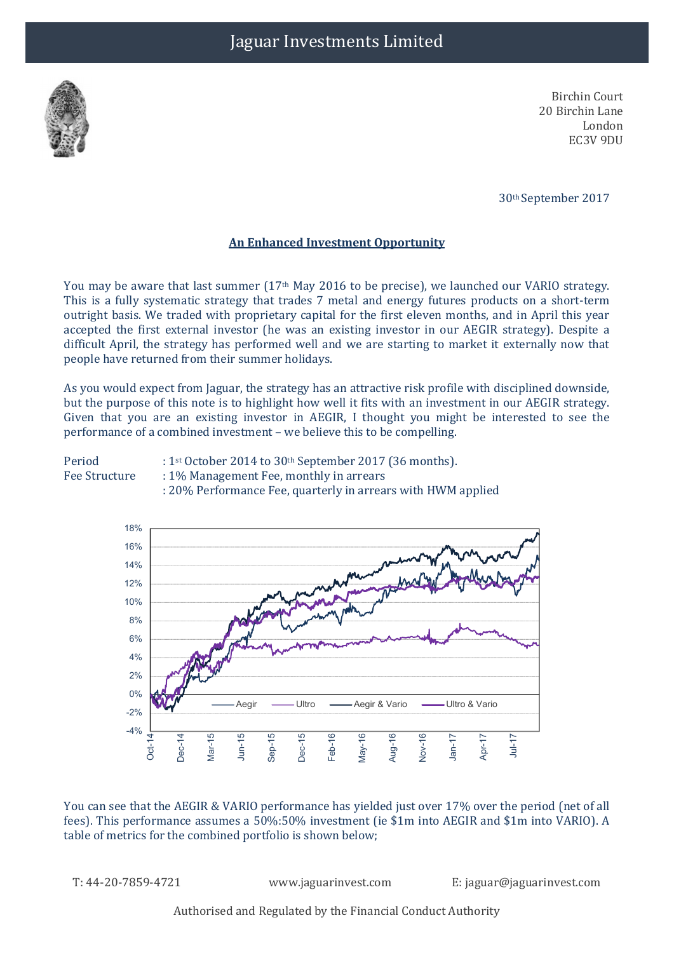

Birchin Court 20 Birchin Lane London EC3V 9DU

30th September 2017

## An Enhanced Investment Opportunity

You may be aware that last summer (17<sup>th</sup> May 2016 to be precise), we launched our VARIO strategy. This is a fully systematic strategy that trades 7 metal and energy futures products on a short-term outright basis. We traded with proprietary capital for the first eleven months, and in April this year accepted the first external investor (he was an existing investor in our AEGIR strategy). Despite a difficult April, the strategy has performed well and we are starting to market it externally now that people have returned from their summer holidays.

As you would expect from Jaguar, the strategy has an attractive risk profile with disciplined downside, but the purpose of this note is to highlight how well it fits with an investment in our AEGIR strategy. Given that you are an existing investor in AEGIR, I thought you might be interested to see the performance of a combined investment – we believe this to be compelling.





You can see that the AEGIR & VARIO performance has yielded just over 17% over the period (net of all fees). This performance assumes a 50%:50% investment (ie \$1m into AEGIR and \$1m into VARIO). A table of metrics for the combined portfolio is shown below;

T: 44-20-7859-4721 www.jaguarinvest.com E: jaguar@jaguarinvest.com

Authorised and Regulated by the Financial Conduct Authority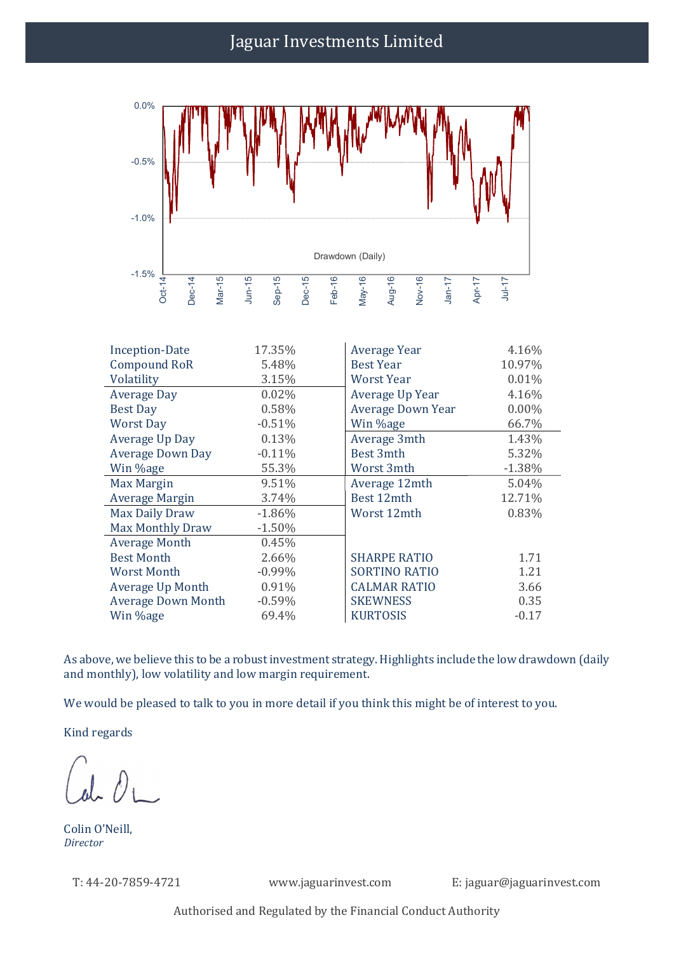## Jaguar Investments Limited



| <b>Inception-Date</b>     | 17.35%    | Average Year         | 4.16%    |
|---------------------------|-----------|----------------------|----------|
| <b>Compound RoR</b>       | 5.48%     | <b>Best Year</b>     | 10.97%   |
| Volatility                | 3.15%     | <b>Worst Year</b>    | 0.01%    |
| <b>Average Day</b>        | 0.02%     | Average Up Year      | 4.16%    |
| <b>Best Day</b>           | 0.58%     | Average Down Year    | $0.00\%$ |
| <b>Worst Day</b>          | $-0.51%$  | Win %age             | 66.7%    |
| Average Up Day            | 0.13%     | Average 3mth         | 1.43%    |
| <b>Average Down Day</b>   | $-0.11%$  | Best 3mth            | 5.32%    |
| Win %age                  | 55.3%     | Worst 3mth           | $-1.38%$ |
| Max Margin                | 9.51%     | Average 12mth        | 5.04%    |
| Average Margin            | 3.74%     | Best 12mth           | 12.71%   |
| Max Daily Draw            | $-1.86%$  | Worst 12mth          | 0.83%    |
| <b>Max Monthly Draw</b>   | $-1.50%$  |                      |          |
| <b>Average Month</b>      | 0.45%     |                      |          |
| <b>Best Month</b>         | 2.66%     | <b>SHARPE RATIO</b>  | 1.71     |
| Worst Month               | $-0.99\%$ | <b>SORTINO RATIO</b> | 1.21     |
| <b>Average Up Month</b>   | 0.91%     | <b>CALMAR RATIO</b>  | 3.66     |
| <b>Average Down Month</b> | $-0.59%$  | <b>SKEWNESS</b>      | 0.35     |
| Win %age                  | 69.4%     | <b>KURTOSIS</b>      | $-0.17$  |

As above, we believe this to be a robust investment strategy. Highlights include the low drawdown (daily and monthly), low volatility and low margin requirement.

We would be pleased to talk to you in more detail if you think this might be of interest to you.

Kind regards

Colin O'Neill, Director

T: 44-20-7859-4721 www.jaguarinvest.com E: jaguar@jaguarinvest.com

Authorised and Regulated by the Financial Conduct Authority